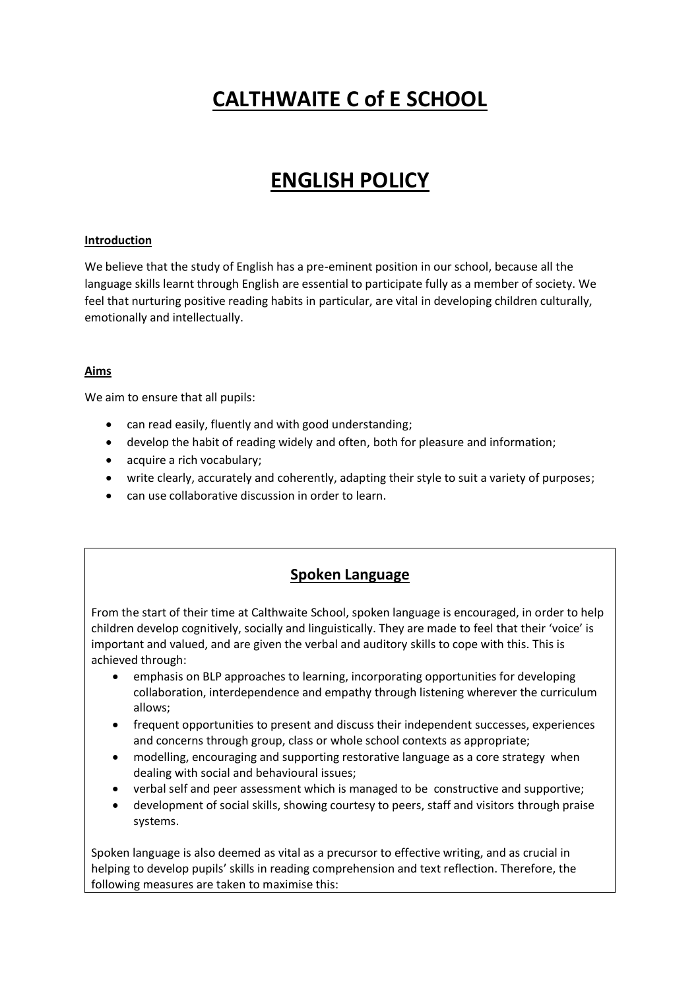# **CALTHWAITE C of E SCHOOL**

# **ENGLISH POLICY**

#### **Introduction**

We believe that the study of English has a pre-eminent position in our school, because all the language skills learnt through English are essential to participate fully as a member of society. We feel that nurturing positive reading habits in particular, are vital in developing children culturally, emotionally and intellectually.

#### **Aims**

We aim to ensure that all pupils:

- can read easily, fluently and with good understanding;
- develop the habit of reading widely and often, both for pleasure and information;
- acquire a rich vocabulary;
- write clearly, accurately and coherently, adapting their style to suit a variety of purposes;
- can use collaborative discussion in order to learn.

#### **Spoken Language**

From the start of their time at Calthwaite School, spoken language is encouraged, in order to help children develop cognitively, socially and linguistically. They are made to feel that their 'voice' is important and valued, and are given the verbal and auditory skills to cope with this. This is achieved through:

- emphasis on BLP approaches to learning, incorporating opportunities for developing collaboration, interdependence and empathy through listening wherever the curriculum allows;
- frequent opportunities to present and discuss their independent successes, experiences and concerns through group, class or whole school contexts as appropriate;
- modelling, encouraging and supporting restorative language as a core strategy when dealing with social and behavioural issues;
- verbal self and peer assessment which is managed to be constructive and supportive;
- development of social skills, showing courtesy to peers, staff and visitors through praise systems.

Spoken language is also deemed as vital as a precursor to effective writing, and as crucial in helping to develop pupils' skills in reading comprehension and text reflection. Therefore, the following measures are taken to maximise this: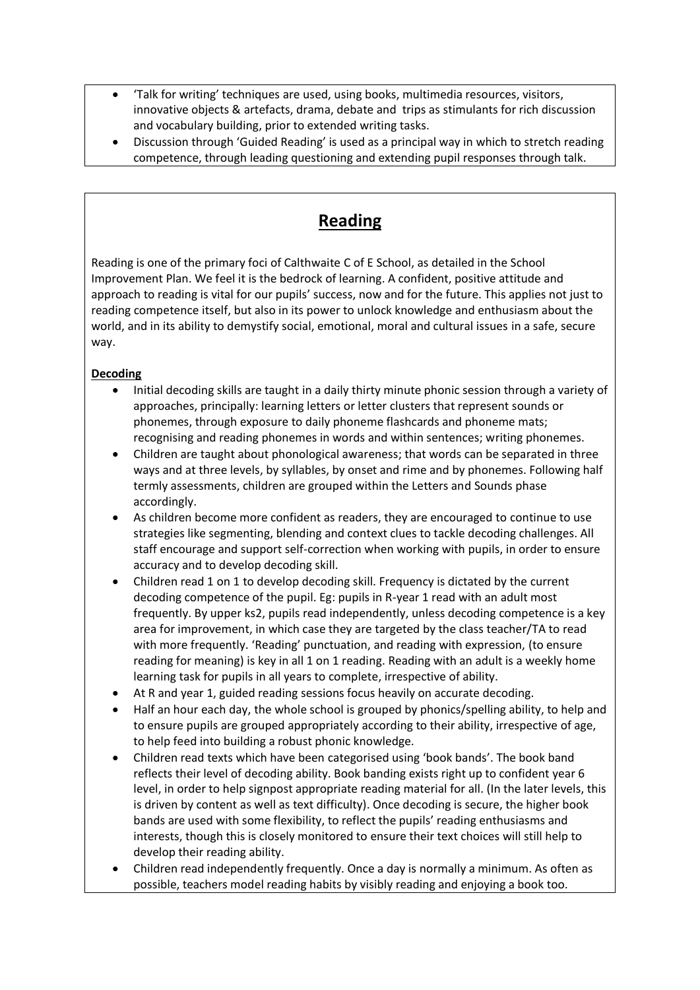- 'Talk for writing' techniques are used, using books, multimedia resources, visitors, innovative objects & artefacts, drama, debate and trips as stimulants for rich discussion and vocabulary building, prior to extended writing tasks.
- Discussion through 'Guided Reading' is used as a principal way in which to stretch reading competence, through leading questioning and extending pupil responses through talk.

## **Reading**

Reading is one of the primary foci of Calthwaite C of E School, as detailed in the School Improvement Plan. We feel it is the bedrock of learning. A confident, positive attitude and approach to reading is vital for our pupils' success, now and for the future. This applies not just to reading competence itself, but also in its power to unlock knowledge and enthusiasm about the world, and in its ability to demystify social, emotional, moral and cultural issues in a safe, secure way.

#### **Decoding**

- Initial decoding skills are taught in a daily thirty minute phonic session through a variety of approaches, principally: learning letters or letter clusters that represent sounds or phonemes, through exposure to daily phoneme flashcards and phoneme mats; recognising and reading phonemes in words and within sentences; writing phonemes.
- Children are taught about phonological awareness; that words can be separated in three ways and at three levels, by syllables, by onset and rime and by phonemes. Following half termly assessments, children are grouped within the Letters and Sounds phase accordingly.
- As children become more confident as readers, they are encouraged to continue to use strategies like segmenting, blending and context clues to tackle decoding challenges. All staff encourage and support self-correction when working with pupils, in order to ensure accuracy and to develop decoding skill.
- Children read 1 on 1 to develop decoding skill. Frequency is dictated by the current decoding competence of the pupil. Eg: pupils in R-year 1 read with an adult most frequently. By upper ks2, pupils read independently, unless decoding competence is a key area for improvement, in which case they are targeted by the class teacher/TA to read with more frequently. 'Reading' punctuation, and reading with expression, (to ensure reading for meaning) is key in all 1 on 1 reading. Reading with an adult is a weekly home learning task for pupils in all years to complete, irrespective of ability.
- At R and year 1, guided reading sessions focus heavily on accurate decoding.
- Half an hour each day, the whole school is grouped by phonics/spelling ability, to help and to ensure pupils are grouped appropriately according to their ability, irrespective of age, to help feed into building a robust phonic knowledge.
- Children read texts which have been categorised using 'book bands'. The book band reflects their level of decoding ability. Book banding exists right up to confident year 6 level, in order to help signpost appropriate reading material for all. (In the later levels, this is driven by content as well as text difficulty). Once decoding is secure, the higher book bands are used with some flexibility, to reflect the pupils' reading enthusiasms and interests, though this is closely monitored to ensure their text choices will still help to develop their reading ability.
- Children read independently frequently. Once a day is normally a minimum. As often as possible, teachers model reading habits by visibly reading and enjoying a book too.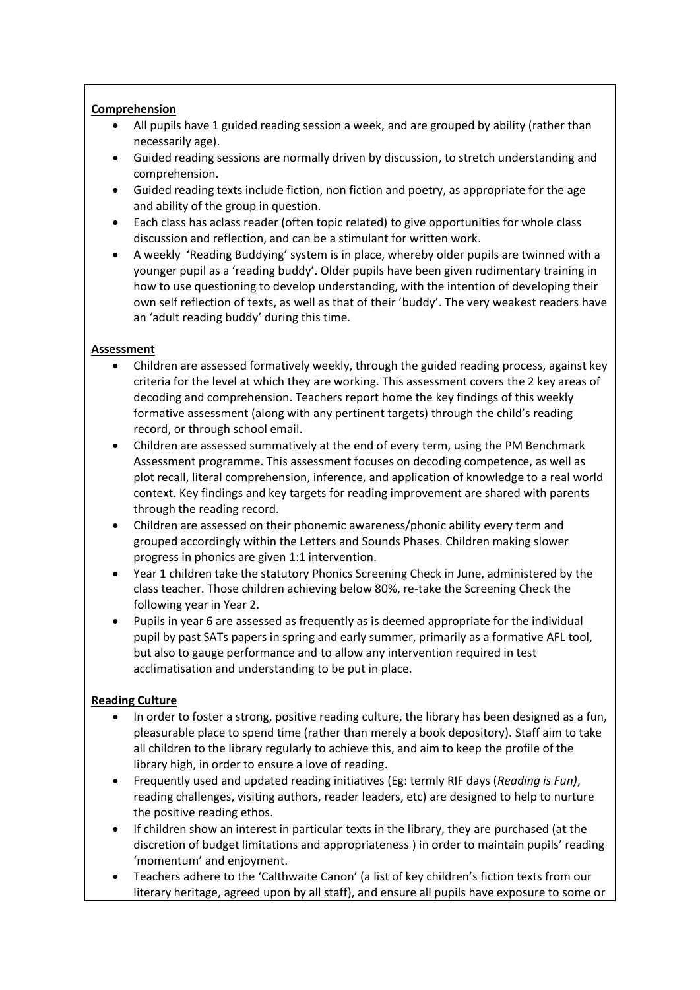#### **Comprehension**

- All pupils have 1 guided reading session a week, and are grouped by ability (rather than necessarily age).
- Guided reading sessions are normally driven by discussion, to stretch understanding and comprehension.
- Guided reading texts include fiction, non fiction and poetry, as appropriate for the age and ability of the group in question.
- Each class has aclass reader (often topic related) to give opportunities for whole class discussion and reflection, and can be a stimulant for written work.
- A weekly 'Reading Buddying' system is in place, whereby older pupils are twinned with a younger pupil as a 'reading buddy'. Older pupils have been given rudimentary training in how to use questioning to develop understanding, with the intention of developing their own self reflection of texts, as well as that of their 'buddy'. The very weakest readers have an 'adult reading buddy' during this time.

#### **Assessment**

- Children are assessed formatively weekly, through the guided reading process, against key criteria for the level at which they are working. This assessment covers the 2 key areas of decoding and comprehension. Teachers report home the key findings of this weekly formative assessment (along with any pertinent targets) through the child's reading record, or through school email.
- Children are assessed summatively at the end of every term, using the PM Benchmark Assessment programme. This assessment focuses on decoding competence, as well as plot recall, literal comprehension, inference, and application of knowledge to a real world context. Key findings and key targets for reading improvement are shared with parents through the reading record.
- Children are assessed on their phonemic awareness/phonic ability every term and grouped accordingly within the Letters and Sounds Phases. Children making slower progress in phonics are given 1:1 intervention.
- Year 1 children take the statutory Phonics Screening Check in June, administered by the class teacher. Those children achieving below 80%, re-take the Screening Check the following year in Year 2.
- Pupils in year 6 are assessed as frequently as is deemed appropriate for the individual pupil by past SATs papers in spring and early summer, primarily as a formative AFL tool, but also to gauge performance and to allow any intervention required in test acclimatisation and understanding to be put in place.

#### **Reading Culture**

- In order to foster a strong, positive reading culture, the library has been designed as a fun, pleasurable place to spend time (rather than merely a book depository). Staff aim to take all children to the library regularly to achieve this, and aim to keep the profile of the library high, in order to ensure a love of reading.
- Frequently used and updated reading initiatives (Eg: termly RIF days (*Reading is Fun)*, reading challenges, visiting authors, reader leaders, etc) are designed to help to nurture the positive reading ethos.
- If children show an interest in particular texts in the library, they are purchased (at the discretion of budget limitations and appropriateness ) in order to maintain pupils' reading 'momentum' and enjoyment.
- Teachers adhere to the 'Calthwaite Canon' (a list of key children's fiction texts from our literary heritage, agreed upon by all staff), and ensure all pupils have exposure to some or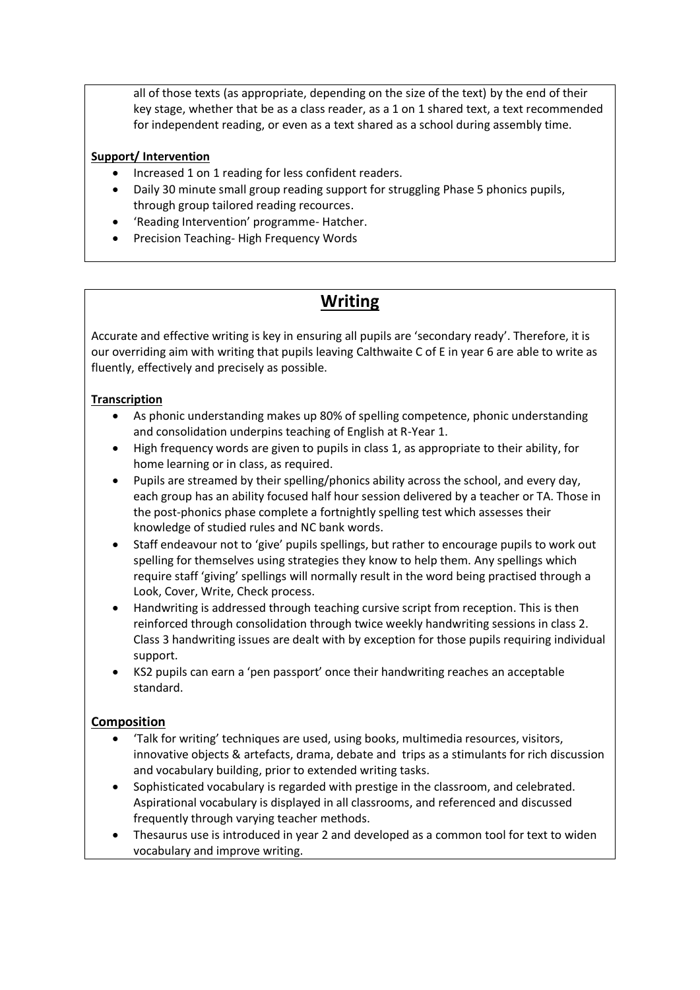all of those texts (as appropriate, depending on the size of the text) by the end of their key stage, whether that be as a class reader, as a 1 on 1 shared text, a text recommended for independent reading, or even as a text shared as a school during assembly time.

#### **Support/ Intervention**

- Increased 1 on 1 reading for less confident readers.
- Daily 30 minute small group reading support for struggling Phase 5 phonics pupils, through group tailored reading recources.
- 'Reading Intervention' programme- Hatcher.
- Precision Teaching-High Frequency Words

## **Writing**

Accurate and effective writing is key in ensuring all pupils are 'secondary ready'. Therefore, it is our overriding aim with writing that pupils leaving Calthwaite C of E in year 6 are able to write as fluently, effectively and precisely as possible.

#### **Transcription**

- As phonic understanding makes up 80% of spelling competence, phonic understanding and consolidation underpins teaching of English at R-Year 1.
- High frequency words are given to pupils in class 1, as appropriate to their ability, for home learning or in class, as required.
- Pupils are streamed by their spelling/phonics ability across the school, and every day, each group has an ability focused half hour session delivered by a teacher or TA. Those in the post-phonics phase complete a fortnightly spelling test which assesses their knowledge of studied rules and NC bank words.
- Staff endeavour not to 'give' pupils spellings, but rather to encourage pupils to work out spelling for themselves using strategies they know to help them. Any spellings which require staff 'giving' spellings will normally result in the word being practised through a Look, Cover, Write, Check process.
- Handwriting is addressed through teaching cursive script from reception. This is then reinforced through consolidation through twice weekly handwriting sessions in class 2. Class 3 handwriting issues are dealt with by exception for those pupils requiring individual support.
- KS2 pupils can earn a 'pen passport' once their handwriting reaches an acceptable standard.

#### **Composition**

- 'Talk for writing' techniques are used, using books, multimedia resources, visitors, innovative objects & artefacts, drama, debate and trips as a stimulants for rich discussion and vocabulary building, prior to extended writing tasks.
- Sophisticated vocabulary is regarded with prestige in the classroom, and celebrated. Aspirational vocabulary is displayed in all classrooms, and referenced and discussed frequently through varying teacher methods.
- Thesaurus use is introduced in year 2 and developed as a common tool for text to widen vocabulary and improve writing.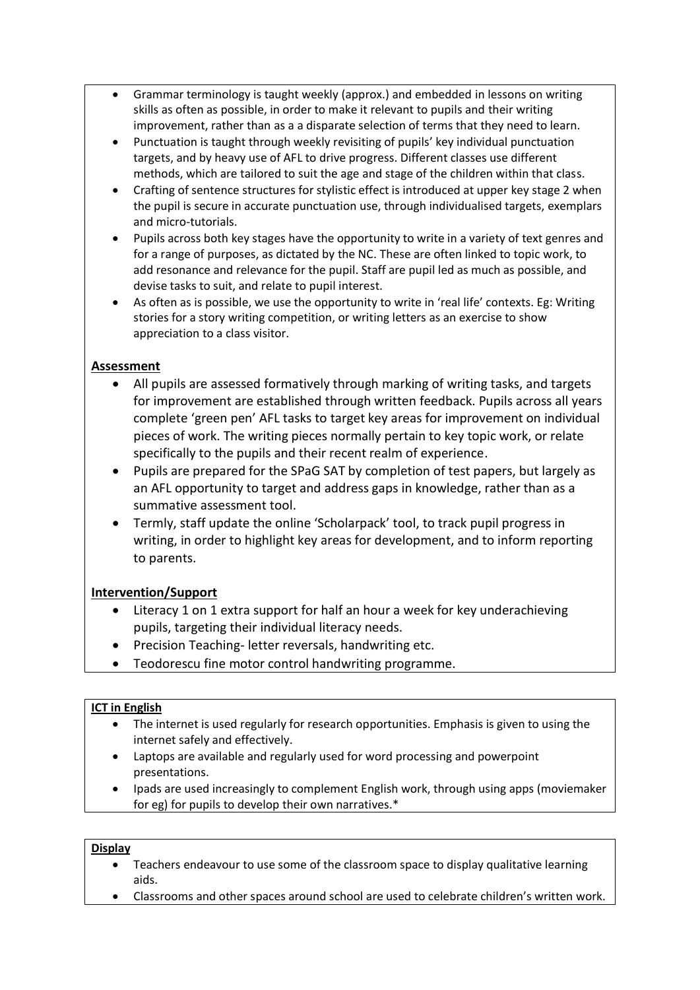- Grammar terminology is taught weekly (approx.) and embedded in lessons on writing skills as often as possible, in order to make it relevant to pupils and their writing improvement, rather than as a a disparate selection of terms that they need to learn.
- Punctuation is taught through weekly revisiting of pupils' key individual punctuation targets, and by heavy use of AFL to drive progress. Different classes use different methods, which are tailored to suit the age and stage of the children within that class.
- Crafting of sentence structures for stylistic effect is introduced at upper key stage 2 when the pupil is secure in accurate punctuation use, through individualised targets, exemplars and micro-tutorials.
- Pupils across both key stages have the opportunity to write in a variety of text genres and for a range of purposes, as dictated by the NC. These are often linked to topic work, to add resonance and relevance for the pupil. Staff are pupil led as much as possible, and devise tasks to suit, and relate to pupil interest.
- As often as is possible, we use the opportunity to write in 'real life' contexts. Eg: Writing stories for a story writing competition, or writing letters as an exercise to show appreciation to a class visitor.

#### **Assessment**

- All pupils are assessed formatively through marking of writing tasks, and targets for improvement are established through written feedback. Pupils across all years complete 'green pen' AFL tasks to target key areas for improvement on individual pieces of work. The writing pieces normally pertain to key topic work, or relate specifically to the pupils and their recent realm of experience.
- Pupils are prepared for the SPaG SAT by completion of test papers, but largely as an AFL opportunity to target and address gaps in knowledge, rather than as a summative assessment tool.
- Termly, staff update the online 'Scholarpack' tool, to track pupil progress in writing, in order to highlight key areas for development, and to inform reporting to parents.

#### **Intervention/Support**

- Literacy 1 on 1 extra support for half an hour a week for key underachieving pupils, targeting their individual literacy needs.
- Precision Teaching- letter reversals, handwriting etc.
- Teodorescu fine motor control handwriting programme.

#### **ICT in English**

- The internet is used regularly for research opportunities. Emphasis is given to using the internet safely and effectively.
- Laptops are available and regularly used for word processing and powerpoint presentations.
- Ipads are used increasingly to complement English work, through using apps (moviemaker for eg) for pupils to develop their own narratives.\*

#### **Display**

- Teachers endeavour to use some of the classroom space to display qualitative learning aids.
- Classrooms and other spaces around school are used to celebrate children's written work.